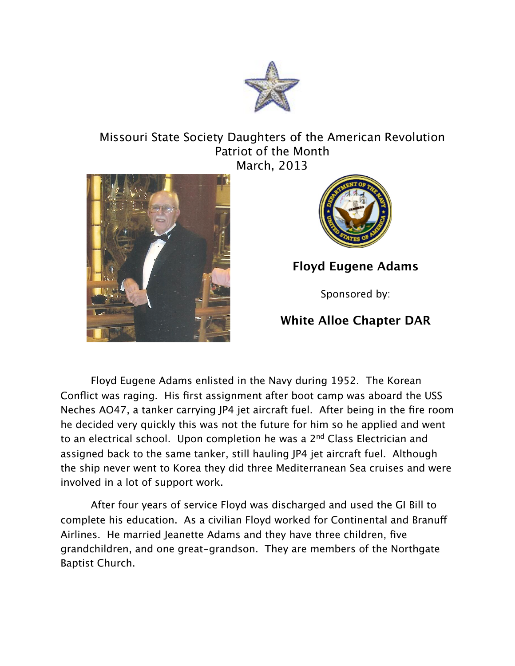

## Missouri State Society Daughters of the American Revolution Patriot of the Month March, 2013





**Floyd Eugene Adams**

Sponsored by:

## **White Alloe Chapter DAR**

Floyd Eugene Adams enlisted in the Navy during 1952. The Korean Conflict was raging. His first assignment after boot camp was aboard the USS Neches AO47, a tanker carrying JP4 jet aircraft fuel. After being in the fire room he decided very quickly this was not the future for him so he applied and went to an electrical school. Upon completion he was a 2<sup>nd</sup> Class Electrician and assigned back to the same tanker, still hauling JP4 jet aircraft fuel. Although the ship never went to Korea they did three Mediterranean Sea cruises and were involved in a lot of support work.

After four years of service Floyd was discharged and used the GI Bill to complete his education. As a civilian Floyd worked for Continental and Branuf Airlines. He married Jeanette Adams and they have three children, five grandchildren, and one great-grandson. They are members of the Northgate Baptist Church.